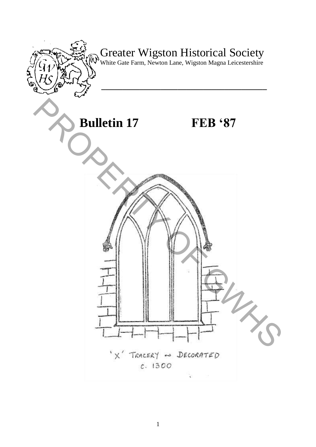

# Greater Wigston Historical Society

White Gate Farm, Newton Lane, Wigston Magna Leicestershire

**\_\_\_\_\_\_\_\_\_\_\_\_\_\_\_\_\_\_\_\_\_\_\_\_\_\_\_\_\_\_\_\_\_\_\_\_\_\_\_** 

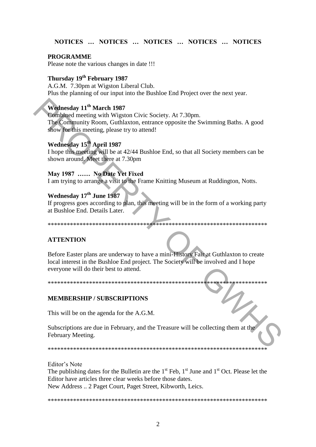#### NOTICES ... NOTICES ... NOTICES ... NOTICES ... NOTICES

#### **PROGRAMME**

Please note the various changes in date !!!

### Thursday 19th February 1987

A.G.M. 7.30pm at Wigston Liberal Club. Plus the planning of our input into the Bushloe End Project over the next year.

#### Wednesday 11<sup>th</sup> March 1987

Combined meeting with Wigston Civic Society. At 7.30pm. The Community Room, Guthlaxton, entrance opposite the Swimming Baths. A good show for this meeting, please try to attend!

#### Wednesday 15<sup>th</sup> April 1987

I hope this meeting will be at 42/44 Bushloe End, so that all Society members can be shown around. Meet there at 7.30pm

#### May 1987 ...... No Date Yet Fixed

I am trying to arrange a visit to the Frame Knitting Museum at Ruddington, Notts.

#### Wednesday 17th June 1987

If progress goes according to plan, this meeting will be in the form of a working party at Bushloe End. Details Later.

#### **ATTENTION**

Before Easter plans are underway to have a mini-History Fair at Guthlaxton to create local interest in the Bushloe End project. The Society will be involved and I hope everyone will do their best to attend.

\*\*\*\*\*\*\*\*\*\*\*\*\*\*\*\*\*\*\*\*\*\*\*\*\*\*\*\*\*\*\*\*\*\*\*\*\*\* \*\*\*\*\*\*\*\*\*\*\*\* \*\*\*\*\*\*\*\*\*\*\*\*\*\*\*

#### **MEMBERSHIP / SUBSCRIPTIONS**

This will be on the agenda for the A.G.M.

Subscriptions are due in February, and the Treasure will be collecting them at the February Meeting.

Editor's Note

The publishing dates for the Bulletin are the  $1<sup>st</sup>$  Feb,  $1<sup>st</sup>$  June and  $1<sup>st</sup>$  Oct. Please let the Editor have articles three clear weeks before those dates. New Address .. 2 Paget Court, Paget Street, Kibworth, Leics.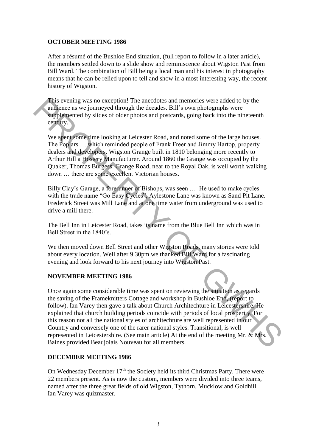#### **OCTOBER MEETING 1986**

After a résumé of the Bushloe End situation, (full report to follow in a later article), the members settled down to a slide show and reminiscence about Wigston Past from Bill Ward. The combination of Bill being a local man and his interest in photography means that he can be relied upon to tell and show in a most interesting way, the recent history of Wigston.

This evening was no exception! The anecdotes and memories were added to by the audience as we journeyed through the decades. Bill"s own photographs were supplemented by slides of older photos and postcards, going back into the nineteenth century.

We spent some time looking at Leicester Road, and noted some of the large houses. The Poplars … which reminded people of Frank Freer and Jimmy Hartop, property dealers and developers. Wigston Grange built in 1810 belonging more recently to Arthur Hill a Hosiery Manufacturer. Around 1860 the Grange was occupied by the Quaker, Thomas Burgess. Grange Road, near to the Royal Oak, is well worth walking down … there are some excellent Victorian houses.

Billy Clay"s Garage, a forerunner of Bishops, was seen … He used to make cycles with the trade name "Go Easy Cycles", Aylestone Lane was known as Sand Pit Lane. Frederick Street was Mill Lane and at one time water from underground was used to drive a mill there.

The Bell Inn in Leicester Road, takes its name from the Blue Bell Inn which was in Bell Street in the 1840's.

We then moved down Bell Street and other Wigston Roads, many stories were told about every location. Well after 9.30pm we thanked Bill Ward for a fascinating evening and look forward to his next journey into Wigston Past.

#### **NOVEMBER MEETING 1986**

Once again some considerable time was spent on reviewing the situation as regards the saving of the Frameknitters Cottage and workshop in Bushloe End, (report to follow). Ian Varey then gave a talk about Church Architechture in Leicestershire. He explained that church building periods coincide with periods of local prosperity. For this reason not all the national styles of architechture are well represented in our Country and conversely one of the rarer national styles. Transitional, is well represented in Leicestershire. (See main article) At the end of the meeting Mr. & Mrs. Baines provided Beaujolais Nouveau for all members. This evening was no exception! The ancedotes and menories were added to by the surface terms of the surface and the method of the spents of older photos and postcards, going back into the nineteenth centry.<br>We spents ome

#### **DECEMBER MEETING 1986**

On Wednesday December  $17<sup>th</sup>$  the Society held its third Christmas Party. There were 22 members present. As is now the custom, members were divided into three teams, named after the three great fields of old Wigston, Tythorn, Mucklow and Goldhill. Ian Varey was quizmaster.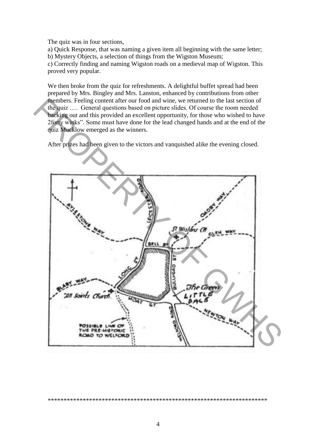The quiz was in four sections,

a) Quick Response, that was naming a given item all beginning with the same letter; b) Mystery Objects, a selection of things from the Wigston Museum;

c) Correctly finding and naming Wigston roads on a medieval map of Wigston. This proved very popular.

We then broke from the quiz for refreshments. A delightful buffet spread had been prepared by Mrs. Bingley and Mrs. Lanston, enhanced by contributions from other members. Feeling content after our food and wine, we returned to the last section of the quiz .... General questions based on picture slides. Of course the room needed backing out and this provided an excellent opportunity, for those who wished to have 2forty winks". Some must have done for the lead changed hands and at the end of the quiz Mucklow emerged as the winners.

After prizes had been given to the victors and vanquished alike the evening closed.

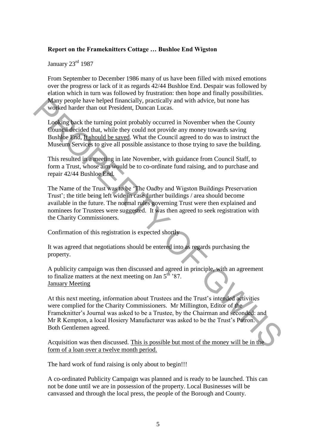#### **Report on the Frameknitters Cottage … Bushloe End Wigston**

January 23rd 1987

From September to December 1986 many of us have been filled with mixed emotions over the progress or lack of it as regards 42/44 Bushloe End. Despair was followed by elation which in turn was followed by frustration: then hope and finally possibilities. Many people have helped financially, practically and with advice, but none has worked harder than out President, Duncan Lucas.

Looking back the turning point probably occurred in November when the County Council decided that, while they could not provide any money towards saving Bushloe End, It should be saved. What the Council agreed to do was to instruct the Museum Services to give all possible assistance to those trying to save the building.

This resulted in a meeting in late November, with guidance from Council Staff, to form a Trust, whose aim would be to co-ordinate fund raising, and to purchase and repair 42/44 Bushloe End.

The Name of the Trust was to be "The Oadby and Wigston Buildings Preservation Trust'; the title being left wide in case further buildings / area should become available in the future. The normal rules governing Trust were then explained and nominees for Trustees were suggested. It was then agreed to seek registration with the Charity Commissioners.

Confirmation of this registration is expected shortly

It was agreed that negotiations should be entered into as regards purchasing the property.

A publicity campaign was then discussed and agreed in principle, with an agreement to finalize matters at the next meeting on Jan  $5^{th}$  '87. January Meeting

At this next meeting, information about Trustees and the Trust's intended activities were complied for the Charity Commissioners. Mr Millington, Editor of the Frameknitter"s Journal was asked to be a Trustee, by the Chairman and seconded: and Mr R Kempton, a local Hosiery Manufacturer was asked to be the Trust"s Patron. Both Gentlemen agreed. Many people have helped financially, practically und with advice, but none has<br>
worked harder than out President, Duncan Lucas.<br>
Looking back the turning point probably occurred in November when the County<br>
Council decide

Acquisition was then discussed. This is possible but most of the money will be in the form of a loan over a twelve month period.

The hard work of fund raising is only about to begin!!!

A co-ordinated Publicity Campaign was planned and is ready to be launched. This can not be done until we are in possession of the property. Local Businesses will be canvassed and through the local press, the people of the Borough and County.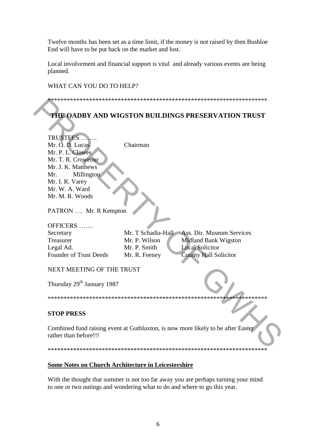Twelve months has been set as a time limit, if the money is not raised by then Bushloe End will have to be put back on the market and lost.

Local involvement and financial support is vital and already various events are being planned.

#### WHAT CAN YOU DO TO HELP?

# THE OADBY AND WIGSTON BUILDINGS PRESERVATION TRUST

| <b>TRUSTEES</b> .                      |                    |                                                                                  |
|----------------------------------------|--------------------|----------------------------------------------------------------------------------|
| Mr. O. D. Lucas                        | Chairman           |                                                                                  |
| Mr. P. L. Clowes                       |                    |                                                                                  |
| Mr. T. R. Croweour                     |                    |                                                                                  |
| Mr. J. K. Matthews                     |                    |                                                                                  |
| Millington<br>Mr.                      |                    |                                                                                  |
| Mr. I. R. Varey                        |                    |                                                                                  |
| Mr. W. A. Ward                         |                    |                                                                                  |
| Mr. M. R. Woods                        |                    |                                                                                  |
| PATRON  Mr. R Kempton                  |                    |                                                                                  |
|                                        |                    |                                                                                  |
| OFFICERS                               |                    |                                                                                  |
| Secretary                              | Mr. T Schadia-Hall | Ass. Dir. Museum Services                                                        |
| Treasurer                              | Mr. P. Wilson      | Midland Bank Wigston                                                             |
| Legal Ad.                              | Mr. P. Smith       | <b>Local Solicitor</b>                                                           |
| <b>Founder of Trust Deeds</b>          | Mr. R. Feeney      | <b>County Hall Solicitor</b>                                                     |
|                                        |                    |                                                                                  |
| NEXT MEETING OF THE TRUST              |                    |                                                                                  |
|                                        |                    |                                                                                  |
| Thursday 29 <sup>th</sup> January 1987 |                    |                                                                                  |
|                                        |                    |                                                                                  |
|                                        |                    |                                                                                  |
|                                        |                    |                                                                                  |
| <b>STOP PRESS</b>                      |                    |                                                                                  |
|                                        |                    |                                                                                  |
|                                        |                    | Combined fund raising event at Guthlaxton, is now more likely to be after Easter |
| rather than before!!!                  |                    |                                                                                  |
|                                        |                    |                                                                                  |
|                                        |                    |                                                                                  |
|                                        |                    |                                                                                  |

# Some Notes on Church Architecture in Leicestershire

With the thought that summer is not too far away you are perhaps turning your mind to one or two outings and wondering what to do and where to go this year.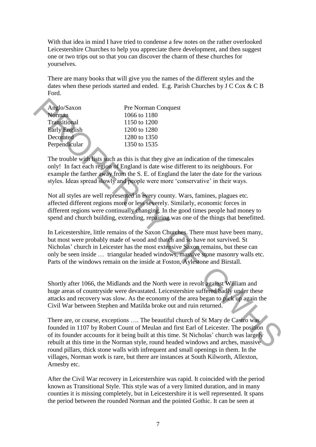With that idea in mind I have tried to condense a few notes on the rather overlooked Leicestershire Churches to help you appreciate there development, and then suggest one or two trips out so that you can discover the charm of these churches for yourselves.

There are many books that will give you the names of the different styles and the dates when these periods started and ended. E.g. Parish Churches by J C Cox & C B Ford.

| <b>Pre Norman Conquest</b> |
|----------------------------|
| 1066 to 1180               |
| 1150 to 1200               |
| 1200 to 1280               |
| 1280 to 1350               |
| 1350 to 1535               |
|                            |

The trouble with lists such as this is that they give an indication of the timescales only! In fact each region of England is date wise different to its neighbours. For example the farther away from the S. E. of England the later the date for the various styles. Ideas spread slowly and people were more "conservative" in their ways.

Not all styles are well represented in every county. Wars, famines, plagues etc. affected different regions more or less severely. Similarly, economic forces in different regions were continually changing. In the good times people had money to spend and church building, extending, repairing was one of the things that benefitted.

In Leicestershire, little remains of the Saxon Churches. There must have been many, but most were probably made of wood and thatch and so have not survived. St Nicholas" church in Leicester has the most extensive Saxon remains, but these can only be seen inside … triangular headed windows, massive stone masonry walls etc. Parts of the windows remain on the inside at Foston, Aylestone and Birstall. Anglo/Staxon<br>
Pre Norman Conquest<br>
Norman 1066 to 1180<br>
Early English<br>
1150 to 1280<br>
Explored 1180<br>
Explored 1180<br>
Developed 1280<br>
Developed 1280<br>
1280 to 1280<br>
Perpendikular<br>
1200 to 1280<br>
Perpendikular<br>
1200 to 1280<br>
Pe

Shortly after 1066, the Midlands and the North were in revolt against William and huge areas of countryside were devastated. Leicestershire suffered badly under these attacks and recovery was slow. As the economy of the area began to pick up again the Civil War between Stephen and Matilda broke out and ruin returned.

There are, or course, exceptions …. The beautiful church of St Mary de Castro was founded in 1107 by Robert Count of Meulan and first Earl of Leicester. The position of its founder accounts for it being built at this time. St Nicholas" church was largely rebuilt at this time in the Norman style, round headed windows and arches, massive round pillars, thick stone walls with infrequent and small openings in them. In the villages, Norman work is rare, but there are instances at South Kilworth, Allexton, Arnesby etc.

After the Civil War recovery in Leicestershire was rapid. It coincided with the period known as Transitional Style. This style was of a very limited duration, and in many counties it is missing completely, but in Leicestershire it is well represented. It spans the period between the rounded Norman and the pointed Gothic. It can be seen at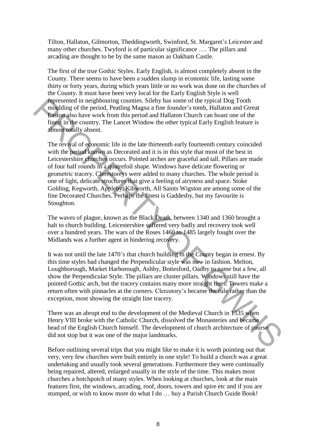Tilton, Hallaton, Gilmorton, Theddingworth, Swinford, St. Margaret"s Leicester and many other churches. Twyford is of particular significance …. The pillars and arcading are thought to be by the same mason as Oakham Castle.

The first of the true Gothic Styles. Early English, is almost completely absent in the County. There seems to have been a sudden slump in economic life, lasting some thirty or forty years, during which years little or no work was done on the churches of the County. It must have been very local for the Early English Style is well represented in neighbouring counties. Sileby has some of the typical Dog Tooth moulding of the period, Peatling Magna a fine founder"s tomb, Hallaton and Gtreat Easton also have work from this period and Hallaton Church can boast one of the finest in the country. The Lancet Window the other typical Early English feature is almost totally absent.

The revival of economic life in the late thirteenth early fourteenth century coincided with the period known as Decorated and it is in this style that most of the best in Leicestershire churches occurs. Pointed arches are graceful and tall. Pillars are made of four half rounds in a quatrefoil shape. Windows have delicate flowering or geometric tracery. Clerestoreys were added to many churches. The whole period is one of light, delicate structures that give a feeling of airyness and space. Stoke Golding, Kegworth, Appleby, Kibworth, All Saints Wigston are among some of the fine Decorated Churches. Perhaps the finest is Gaddesby, but my favourite is Stoughton. **Fergence in neighbouring countise.** Slieby has some of the typical Dog Tooth<br> **Engine The period, Peatling Magna a** fine foundar's tomb, Hallaton and Gtreat<br> **Engine Magna a** fine foundary storm, Hallaton and Gtreat<br> **Eng** 

The waves of plague, known as the Black Death, between 1340 and 1360 brought a halt to church building. Leicestershire suffered very badly and recovery took well over a hundred years. The wars of the Roses 1460 to 1485 largely fought over the Midlands was a further agent in hindering recovery.

It was not until the late 1470"s that church building in the County began in ernest. By this time styles had changed the Perpendicular style was now in fashion. Melton, Loughborough, Market Harborough, Ashby, Bottesford, Oadby to name but a few, all show the Perpendicular Style. The pillars are cluster pillars. Windows still have the pointed Gothic arch, but the tracery contains many more straight lines. Towers make a return often with pinnacles at the corners. Clerestory"s became the rule rather than the exception, most showing the straight line tracery.

There was an abrupt end to the development of the Medieval Church in 1535 when Henry VIII broke with the Catholic Church, dissolved the Monasteries and became head of the English Church himself. The development of church architecture of course did not stop but it was one of the major landmarks.

Before outlining several trips that you might like to make it is worth pointing out that very, very few churches were built entirely in one style! To build a church was a great undertaking and usually took several generations. Furthermore they were continually being repaired, altered, enlarged usually in the style of the time. This makes most churches a hotchpotch of many styles. When looking at churches, look at the main features first, the windows, arcading, roof, doors, towers and spire etc and if you are stumped, or wish to know more do what I do … buy a Parish Church Guide Book!